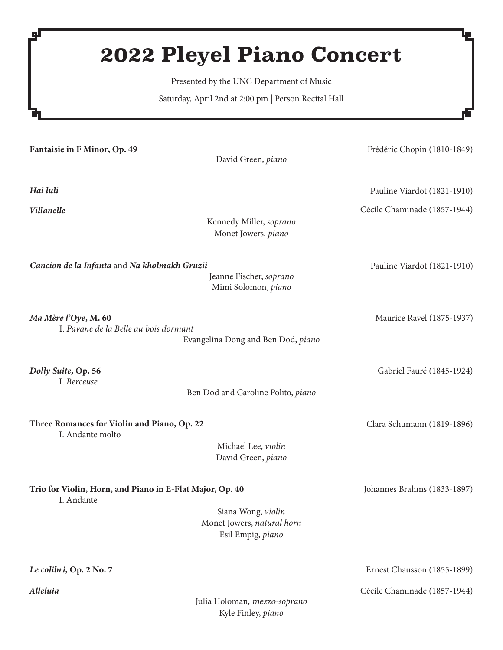# **2022 Pleyel Piano Concert**

Presented by the UNC Department of Music

Saturday, April 2nd at 2:00 pm | Person Recital Hall

Fantaisie in F Minor, Op. 49 David Green, *piano* Frédéric Chopin (1810-1849) *Hai luli Villanelle* Kennedy Miller, *soprano* Monet Jowers, *piano* Cécile Chaminade (1857-1944) Pauline Viardot (1821-1910) *Ma Mère l'Oye*, M. 60 I. *Pavane de la Belle au bois dormant* Evangelina Dong and Ben Dod, *piano* Maurice Ravel (1875-1937) *Dolly Suite*, Op. 56 I. *Berceuse* Ben Dod and Caroline Polito, *piano* Gabriel Fauré (1845-1924) Three Romances for Violin and Piano, Op. 22 I. Andante molto Michael Lee, *violin* David Green, *piano* Clara Schumann (1819-1896) Trio for Violin, Horn, and Piano in E-Flat Major, Op. 40 I. Andante Siana Wong, *violin* Monet Jowers, *natural horn* Esil Empig, *piano* Johannes Brahms (1833-1897) *Cancion de la Infanta* and *Na kholmakh Gruzii* Jeanne Fischer, *soprano* Mimi Solomon, *piano* Pauline Viardot (1821-1910) *Le colibri*, Op. 2 No. 7 *Alleluia* Ernest Chausson (1855-1899) Cécile Chaminade (1857-1944) Julia Holoman, mezzo-*soprano*

Kyle Finley, *piano*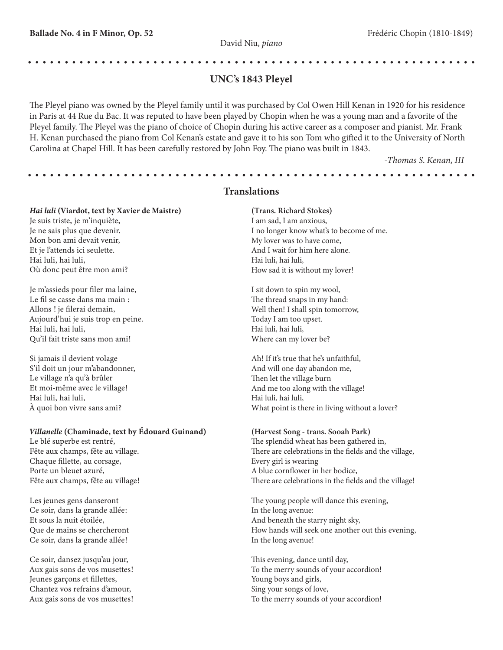# UNC's 1843 Pleyel

The Pleyel piano was owned by the Pleyel family until it was purchased by Col Owen Hill Kenan in 1920 for his residence in Paris at 44 Rue du Bac. It was reputed to have been played by Chopin when he was a young man and a favorite of the Pleyel family. The Pleyel was the piano of choice of Chopin during his active career as a composer and pianist. Mr. Frank H. Kenan purchased the piano from Col Kenan's estate and gave it to his son Tom who gifted it to the University of North Carolina at Chapel Hill. It has been carefully restored by John Foy. The piano was built in 1843.

*-Thomas S. Kenan, III*

## **Translations**

#### *Hai luli* (Viardot, text by Xavier de Maistre)

Je suis triste, je m'inquiète, Je ne sais plus que devenir. Mon bon ami devait venir, Et je l'attends ici seulette. Hai luli, hai luli, Où donc peut être mon ami?

Je m'assieds pour filer ma laine, Le fil se casse dans ma main : Allons ! je filerai demain, Aujourd'hui je suis trop en peine. Hai luli, hai luli, Qu'il fait triste sans mon ami!

Si jamais il devient volage S'il doit un jour m'abandonner, Le village n'a qu'à brûler Et moi-même avec le village! Hai luli, hai luli, À quoi bon vivre sans ami?

#### *Villanelle* (Chaminade, text by Édouard Guinand)

Le blé superbe est rentré, Fête aux champs, fête au village. Chaque fillette, au corsage, Porte un bleuet azuré, Fête aux champs, fête au village!

Les jeunes gens danseront Ce soir, dans la grande allée: Et sous la nuit étoilée, Que de mains se chercheront Ce soir, dans la grande allée!

Ce soir, dansez jusqu'au jour, Aux gais sons de vos musettes! Jeunes garçons et fillettes, Chantez vos refrains d'amour, Aux gais sons de vos musettes!

(Trans. Richard Stokes) I am sad, I am anxious, I no longer know what's to become of me. My lover was to have come, And I wait for him here alone. Hai luli, hai luli, How sad it is without my lover!

I sit down to spin my wool, The thread snaps in my hand: Well then! I shall spin tomorrow, Today I am too upset. Hai luli, hai luli, Where can my lover be?

Ah! If it's true that he's unfaithful, And will one day abandon me, Then let the village burn And me too along with the village! Hai luli, hai luli, What point is there in living without a lover?

#### (Harvest Song - trans. Sooah Park)

The splendid wheat has been gathered in, There are celebrations in the fields and the village, Every girl is wearing A blue cornflower in her bodice, There are celebrations in the fields and the village!

The young people will dance this evening, In the long avenue: And beneath the starry night sky, How hands will seek one another out this evening, In the long avenue!

This evening, dance until day, To the merry sounds of your accordion! Young boys and girls, Sing your songs of love, To the merry sounds of your accordion!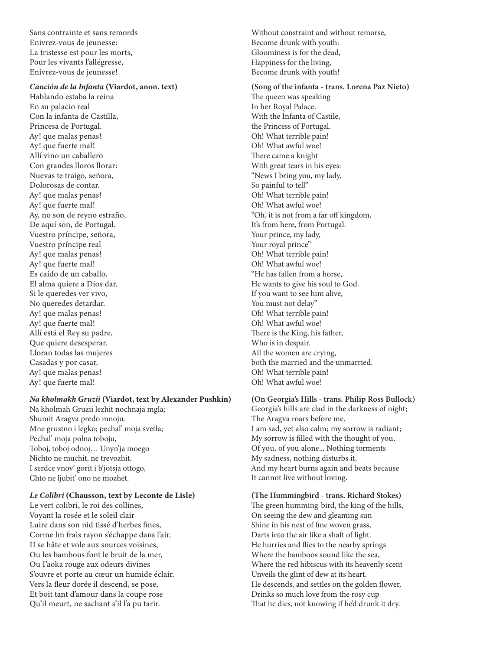Sans contrainte et sans remords Enivrez-vous de jeunesse: La tristesse est pour les morts, Pour les vivants l'allégresse, Enivrez-vous de jeunesse!

#### *Canción de la Infanta* (Viardot, anon. text)

Hablando estaba la reina En su palacio real Con la infanta de Castilla, Princesa de Portugal. Ay! que malas penas! Ay! que fuerte mal! Allí vino un caballero Con grandes lloros llorar: Nuevas te traigo, señora, Dolorosas de contar. Ay! que malas penas! Ay! que fuerte mal! Ay, no son de reyno estraño, De aquí son, de Portugal. Vuestro príncipe, señora, Vuestro príncipe real Ay! que malas penas! Ay! que fuerte mal! Es caído de un caballo, El alma quiere a Dios dar. Si le queredes ver vivo, No queredes detardar. Ay! que malas penas! Ay! que fuerte mal! Allí está el Rey su padre, Que quiere desesperar. Lloran todas las mujeres Casadas y por casar. Ay! que malas penas! Ay! que fuerte mal!

#### *Na kholmakh Gruzii* (Viardot, text by Alexander Pushkin)

Na kholmah Gruzii lezhit nochnaja mgla; Shumit Aragva predo mnoju. Mne grustno i legko; pechal' moja svetla; Pechal' moja polna toboju, Toboj, toboj odnoj… Unyn'ja moego Nichto ne muchit, ne trevozhit, I serdce vnov' gorit i b'jotsja ottogo, Chto ne ljubit' ono ne mozhet.

#### *Le Colibri* (Chausson, text by Leconte de Lisle)

Le vert colibri, le roi des collines, Voyant la rosée et le soleil clair Luire dans son nid tissé d'herbes fines, Corme lm frais rayon s'échappe dans l'air. II se hâte et vole aux sources voisines, Ou les bambous font le bruit de la mer, Ou I'aoka rouge aux odeurs divines S'ouvre et porte au cœur un humide éclair. Vers la fleur dorée il descend, se pose, Et boit tant d'amour dans la coupe rose Qu'il meurt, ne sachant s'il l'a pu tarir.

Without constraint and without remorse, Become drunk with youth: Gloominess is for the dead, Happiness for the living, Become drunk with youth!

(Song of the infanta - trans. Lorena Paz Nieto) The queen was speaking In her Royal Palace. With the Infanta of Castile, the Princess of Portugal. Oh! What terrible pain! Oh! What awful woe! There came a knight With great tears in his eyes: "News I bring you, my lady, So painful to tell" Oh! What terrible pain! Oh! What awful woe! "Oh, it is not from a far off kingdom, It's from here, from Portugal. Your prince, my lady, Your royal prince" Oh! What terrible pain! Oh! What awful woe! "He has fallen from a horse, He wants to give his soul to God. If you want to see him alive, You must not delay" Oh! What terrible pain! Oh! What awful woe! There is the King, his father, Who is in despair. All the women are crying, both the married and the unmarried. Oh! What terrible pain! Oh! What awful woe!

#### (On Georgia's Hills - trans. Philip Ross Bullock)

Georgia's hills are clad in the darkness of night; The Aragva roars before me. I am sad, yet also calm; my sorrow is radiant; My sorrow is filled with the thought of you, Of you, of you alone... Nothing torments My sadness, nothing disturbs it, And my heart burns again and beats because It cannot live without loving.

(The Hummingbird - trans. Richard Stokes) The green humming-bird, the king of the hills, On seeing the dew and gleaming sun Shine in his nest of fine woven grass, Darts into the air like a shaft of light. He hurries and flies to the nearby springs Where the bamboos sound like the sea, Where the red hibiscus with its heavenly scent Unveils the glint of dew at its heart. He descends, and settles on the golden flower, Drinks so much love from the rosy cup That he dies, not knowing if he'd drunk it dry.